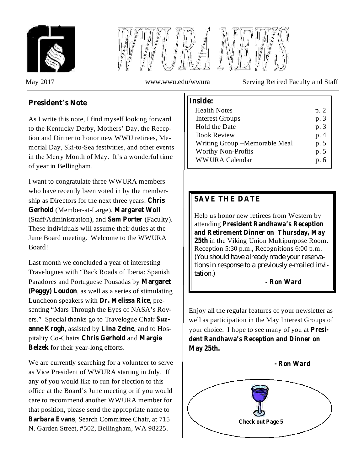



May 2017 www.wwu.edu/wwura Serving Retired Faculty and Staff

# **President's Note**

As I write this note, I find myself looking forward to the Kentucky Derby, Mothers' Day, the Reception and Dinner to honor new WWU retirees, Memorial Day, Ski-to-Sea festivities, and other events in the Merry Month of May. It's a wonderful time of year in Bellingham.

I want to congratulate three WWURA members who have recently been voted in by the membership as Directors for the next three years: **Chris** (Member-at-Large), **Gerhold Margaret Woll** (Staff/Administration), and Sam Porter (Faculty). These individuals will assume their duties at the June Board meeting. Welcome to the WWURA Board!

Last month we concluded a year of interesting Travelogues with "Back Roads of Iberia: Spanish Paradores and Portuguese Pousadas by **Margaret** (Peggy) Loudon, as well as a series of stimulating **Luncheon speakers with Dr. Melissa Rice**, presenting "Mars Through the Eyes of NASA's Rovers." Special thanks go to Travelogue Chair **Suz**anne Krogh, assisted by Lina Zeine, and to Hospitality Co-Chairs **Chris Gerhold** and Margie Belzek for their year-long efforts.

We are currently searching for a volunteer to serve as Vice President of WWURA starting in July. If any of you would like to run for election to this office at the Board's June meeting or if you would care to recommend another WWURA member for that position, please send the appropriate name to Barbara Evans, Search Committee Chair, at 715 N. Garden Street, #502, Bellingham, WA 98225.

| Inside:                        |      |
|--------------------------------|------|
| <b>Health Notes</b>            | p. 2 |
| <b>Interest Groups</b>         | p. 3 |
| <b>Hold the Date</b>           | p. 3 |
| <b>Book Review</b>             | p. 4 |
| Writing Group – Memorable Meal | p. 5 |
| <b>Worthy Non-Profits</b>      | p. 5 |
| <b>WWURA Calendar</b>          | p. 6 |

# **SAVE THE DATE**

Help us honor new retirees from Western by attending **President Randhawa's Reception** 25th in the Viking Union Multipurpose Room. Reception 5:30 p.m., Recognitions 6:00 p.m. **and Retirement Dinner on Thursday, May** *(You should have already made your reservations in response to a previously e-mailed invitation.)*

#### **- Ron Ward**

Enjoy all the regular features of your newsletter as well as participation in the May Interest Groups of your choice. I hope to see many of you at **President Randhawa's Reception and Dinner on May 25th.**

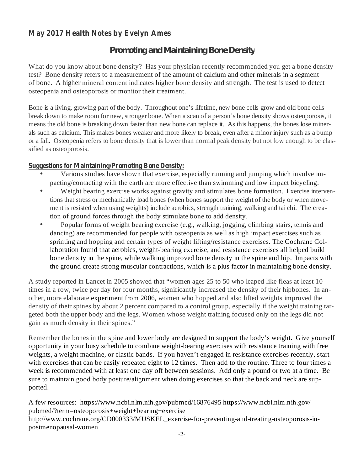## **May 2017 Health Notes by Evelyn Ames**

## *Promoting and Maintaining Bone Density*

What do you know about bone density? Has your physician recently recommended you get a bone density test? Bone density refers to a measurement of the amount of calcium and other minerals in a segment of bone. A higher mineral content indicates higher bone density and strength. The test is used to detect osteopenia and osteoporosis or monitor their treatment.

Bone is a living, growing part of the body. Throughout one's lifetime, new bone cells grow and old bone cells break down to make room for new, stronger bone. When a scan of a person's bone density shows osteoporosis, it means the old bone is breaking down faster than new bone can replace it. As this happens, the bones lose minerals such as calcium. This makes bones weaker and more likely to break, even after a minor injury such as a bump or a fall. Osteopenia refers to bone density that is lower than normal peak density but not low enough to be classified as osteoporosis.

#### **Suggestions for Maintaining/Promoting Bone Density:**

- Various studies have shown that exercise, especially running and jumping which involve impacting/contacting with the earth are more effective than swimming and low impact bicycling. •
- Weight bearing exercise works against gravity and stimulates bone formation. Exercise interventionsthat stress or mechanically load bones (when bones support the weight of the body or when movement is resisted when using weights) include aerobics, strength training, walking and tai chi. The creation of ground forces through the body stimulate bone to add density. •
- Popular forms of weight bearing exercise (e.g., walking, jogging, climbing stairs, tennis and dancing) are recommended for people with osteopenia as well as high impact exercises such as sprinting and hopping and certain types of weight lifting/resistance exercises. The Cochrane Collaboration found that aerobics, weight-bearing exercise, and resistance exercises all helped build bone density in the spine, while walking improved bone density in the spine and hip. Impacts with the ground create strong muscular contractions, which is a plus factor in maintaining bone density.  $\bullet$

A study reported in Lancet in 2005 showed that "women ages 25 to 50 who leaped like fleas at least 10 times in a row, twice per day for four months, significantly increased the density of their hipbones. In another, more elaborate experiment from 2006, women who hopped and also lifted weights improved the density of their spines by about 2 percent compared to a control group, especially if the weight training targeted both the upper body and the legs. Women whose weight training focused only on the legs did not gain as much density in their spines."

Remember the bones in the spine and lower body are designed to support the body's weight. Give yourself opportunity in your busy schedule to combine weight-bearing exercises with resistance training with free weights, a weight machine, or elastic bands. If you haven't engaged in resistance exercises recently, start with exercises that can be easily repeated eight to 12 times. Then add to the routine. Three to four times a week is recommended with at least one day off between sessions. Add only a pound or two at a time. Be sure to maintain good body posture/alignment when doing exercises so that the back and neck are supported.

A few resources: https://www.ncbi.nlm.nih.gov/pubmed/16876495 https://www.ncbi.nlm.nih.gov/ pubmed/?term=osteoporosis+weight+bearing+exercise http://www.cochrane.org/CD000333/MUSKEL\_exercise-for-preventing-and-treating-osteoporosis-inpostmenopausal-women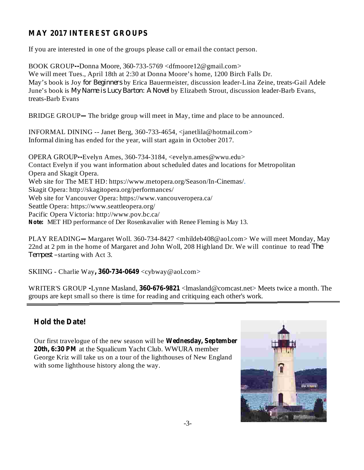# **MAY 2017 INTEREST GROUPS**

If you are interested in one of the groups please call or email the contact person.

BOOK GROUP--Donna Moore, 360-733-5769 <dfmoore12@gmail.com> We will meet Tues., April 18th at 2:30 at Donna Moore's home, 1200 Birch Falls Dr. May's book is Joy *for Beginners* by Erica Bauermeister, discussion leader-Lina Zeine, treats-Gail Adele *June's book is My Name is Lucy Barton: A Novel by Elizabeth Strout, discussion leader-Barb Evans,* treats-Barb Evans

BRIDGE GROUP—The bridge group will meet in May, time and place to be announced.

INFORMAL DINING -- Janet Berg, 360-733-4654, <janetlila@hotmail.com> Informal dining has ended for the year, will start again in October 2017.

OPERA GROUP--Evelyn Ames, 360-734-3184, <evelyn.ames@wwu.edu> **Note:** MET HD performance of Der Rosenkavalier with Renee Fleming is May 13. Contact Evelyn if you want information about scheduled dates and locations for Metropolitan Opera and Skagit Opera. Web site for The MET HD: https://www.metopera.org/Season/In-Cinemas/. Skagit Opera: http://skagitopera.org/performances/ Web site for Vancouver Opera: https://www.vancouveropera.ca/ Seattle Opera: https://www.seattleopera.org/ Pacific Opera Victoria: http://www.pov.bc.ca/

PLAY READING—Margaret Woll. 360-734-8427 <mhildeb408@aol.com> We will meet Monday, May 22nd at 2 pm in the home of Margaret and John Woll, 208 Highland Dr. We will continue to read *The* Tempest –starting with Act 3.

**SKIING** - Charlie Way, 360-734-0649 <cybway@aol.com>

WRITER'S GROUP -Lynne Masland, 360-676-9821 <lmasland@comcast.net>Meets twice a month. The groups are kept small so there is time for reading and critiquing each other's work.

## **Hold the Date!**



**Wednesday, September** Our first travelogue of the new season will be **20th, 6:30 PM** at the Squalicum Yacht Club. WWURA member George Kriz will take us on a tour of the lighthouses of New England with some lighthouse history along the way.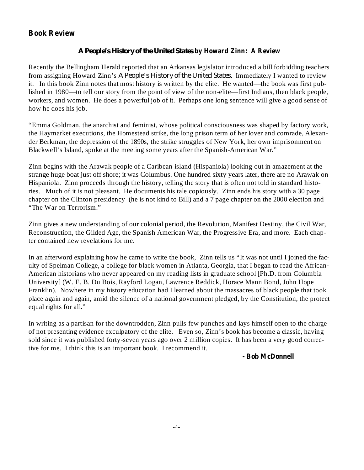## **Book Review**

#### **by Howard Zinn A Review** *A People's History of the United States :*

Recently the Bellingham Herald reported that an Arkansas legislator introduced a bill forbidding teachers from assigning Howard Zinn's A People's History of the United States. Immediately I wanted to review it. In this book Zinn notes that most history is written by the elite. He wanted—the book was first published in 1980—to tell our story from the point of view of the non-elite—first Indians, then black people, workers, and women. He does a powerful job of it. Perhaps one long sentence will give a good sense of how he does his job.

"Emma Goldman, the anarchist and feminist, whose political consciousness was shaped by factory work, the Haymarket executions, the Homestead strike, the long prison term of her lover and comrade, Alexander Berkman, the depression of the 1890s, the strike struggles of New York, her own imprisonment on Blackwell's Island, spoke at the meeting some years after the Spanish-American War."

Zinn begins with the Arawak people of a Caribean island (Hispaniola) looking out in amazement at the strange huge boat just off shore; it was Columbus. One hundred sixty years later, there are no Arawak on Hispaniola. Zinn proceeds through the history, telling the story that is often not told in standard histories. Much of it is not pleasant. He documents his tale copiously. Zinn ends his story with a 30 page chapter on the Clinton presidency (he is not kind to Bill) and a 7 page chapter on the 2000 election and "The War on Terrorism."

Zinn gives a new understanding of our colonial period, the Revolution, Manifest Destiny, the Civil War, Reconstruction, the Gilded Age, the Spanish American War, the Progressive Era, and more. Each chapter contained new revelations for me.

In an afterword explaining how he came to write the book, Zinn tells us "It was not until I joined the faculty of Spelman College, a college for black women in Atlanta, Georgia, that I began to read the African-American historians who never appeared on my reading lists in graduate school [Ph.D. from Columbia University] (W. E. B. Du Bois, Rayford Logan, Lawrence Reddick, Horace Mann Bond, John Hope Franklin). Nowhere in my history education had I learned about the massacres of black people that took place again and again, amid the silence of a national government pledged, by the Constitution, the protect equal rights for all."

In writing as a partisan for the downtrodden, Zinn pulls few punches and lays himself open to the charge of not presenting evidence exculpatory of the elite. Even so, Zinn's book has become a classic, having sold since it was published forty-seven years ago over 2 million copies. It has been a very good corrective for me. I think this is an important book. I recommend it.

#### **- Bob McDonnell**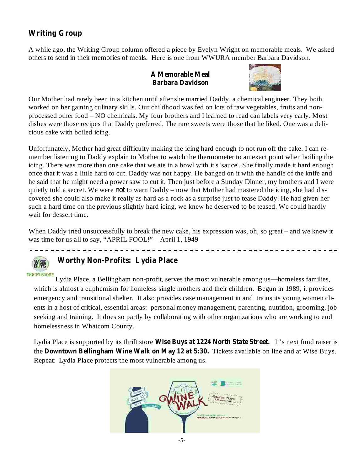# **Writing Group**

A while ago, the Writing Group column offered a piece by Evelyn Wright on memorable meals. We asked others to send in their memories of meals. Here is one from WWURA member Barbara Davidson.

#### **A Memorable Meal Barbara Davidson**



Our Mother had rarely been in a kitchen until after she married Daddy, a chemical engineer. They both worked on her gaining culinary skills. Our childhood was fed on lots of raw vegetables, fruits and nonprocessed other food – NO chemicals. My four brothers and I learned to read can labels very early. Most dishes were those recipes that Daddy preferred. The rare sweets were those that he liked. One was a delicious cake with boiled icing.

Unfortunately, Mother had great difficulty making the icing hard enough to not run off the cake. I can remember listening to Daddy explain to Mother to watch the thermometer to an exact point when boiling the icing. There was more than one cake that we ate in a bowl with it's 'sauce'. She finally made it hard enough once that it was a little hard to cut. Daddy was not happy. He banged on it with the handle of the knife and he said that he might need a power saw to cut it. Then just before a Sunday Dinner, my brothers and I were quietly told a secret. We were *not* to warn Daddy – now that Mother had mastered the icing, she had discovered she could also make it really as hard as a rock as a surprise just to tease Daddy. He had given her such a hard time on the previous slightly hard icing, we knew he deserved to be teased. We could hardly wait for dessert time.

When Daddy tried unsuccessfully to break the new cake, his expression was, oh, so great – and we knew it was time for us all to say, "APRIL FOOL!" – April 1, 1949

# **Worthy Non-Profits: Lydia Place**

羽 W THRIFT STORE

Lydia Place, a Bellingham non-profit, serves the most vulnerable among us—homeless families, which is almost a euphemism for homeless single mothers and their children. Begun in 1989, it provides emergency and transitional shelter. It also provides case management in and trains its young women clients in a host of critical, essential areas: personal money management, parenting, nutrition, grooming, job seeking and training. It does so partly by collaborating with other organizations who are working to end homelessness in Whatcom County.

Lydia Place is supported by its thrift store Wise Buys at 1224 North State Street. It's next fund raiser is the Downtown Bellingham Wine Walk on May 12 at 5:30. Tickets available on line and at Wise Buys. Repeat: Lydia Place protects the most vulnerable among us.